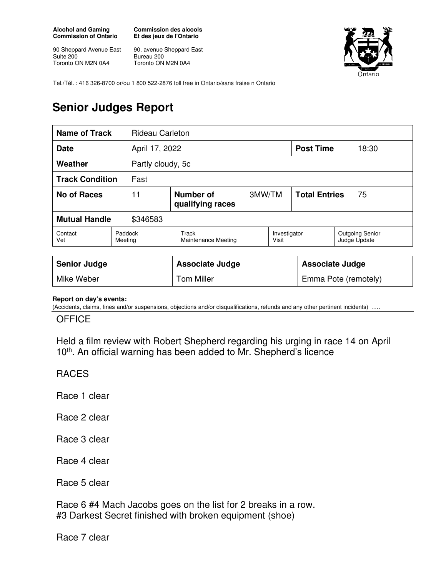**Alcohol and Gaming Commission of Ontario** 

90 Sheppard Avenue East Suite 200 Toronto ON M2N 0A4

**Commission des alcools Et des jeux de l'Ontario** 

90, avenue Sheppard East Bureau 200 Toronto ON M2N 0A4



Tel./Tél. : 416 326-8700 or/ou 1 800 522-2876 toll free in Ontario/sans fraise n Ontario

# **Senior Judges Report**

| <b>Name of Track</b>             |                    | <b>Rideau Carleton</b> |                                     |        |                       |                            |                                        |
|----------------------------------|--------------------|------------------------|-------------------------------------|--------|-----------------------|----------------------------|----------------------------------------|
| <b>Date</b>                      |                    |                        | April 17, 2022                      |        |                       | <b>Post Time</b>           | 18:30                                  |
| Weather<br>Partly cloudy, 5c     |                    |                        |                                     |        |                       |                            |                                        |
| <b>Track Condition</b><br>Fast   |                    |                        |                                     |        |                       |                            |                                        |
| <b>No of Races</b><br>11         |                    |                        | Number of<br>qualifying races       | 3MW/TM |                       | <b>Total Entries</b><br>75 |                                        |
| <b>Mutual Handle</b><br>\$346583 |                    |                        |                                     |        |                       |                            |                                        |
| Contact<br>Vet                   | Paddock<br>Meeting |                        | Track<br><b>Maintenance Meeting</b> |        | Investigator<br>Visit |                            | <b>Outgoing Senior</b><br>Judge Update |
|                                  |                    |                        |                                     |        |                       |                            |                                        |
| <b>Senior Judge</b>              |                    |                        | <b>Associate Judge</b>              |        |                       | <b>Associate Judge</b>     |                                        |
| Mike Weber                       |                    |                        | <b>Tom Miller</b>                   |        | Emma Pote (remotely)  |                            |                                        |

#### **Report on day's events:**

(Accidents, claims, fines and/or suspensions, objections and/or disqualifications, refunds and any other pertinent incidents)

#### **OFFICE**

Held a film review with Robert Shepherd regarding his urging in race 14 on April 10<sup>th</sup>. An official warning has been added to Mr. Shepherd's licence

### RACES

Race 1 clear

Race 2 clear

Race 3 clear

Race 4 clear

Race 5 clear

Race 6 #4 Mach Jacobs goes on the list for 2 breaks in a row. #3 Darkest Secret finished with broken equipment (shoe)

Race 7 clear